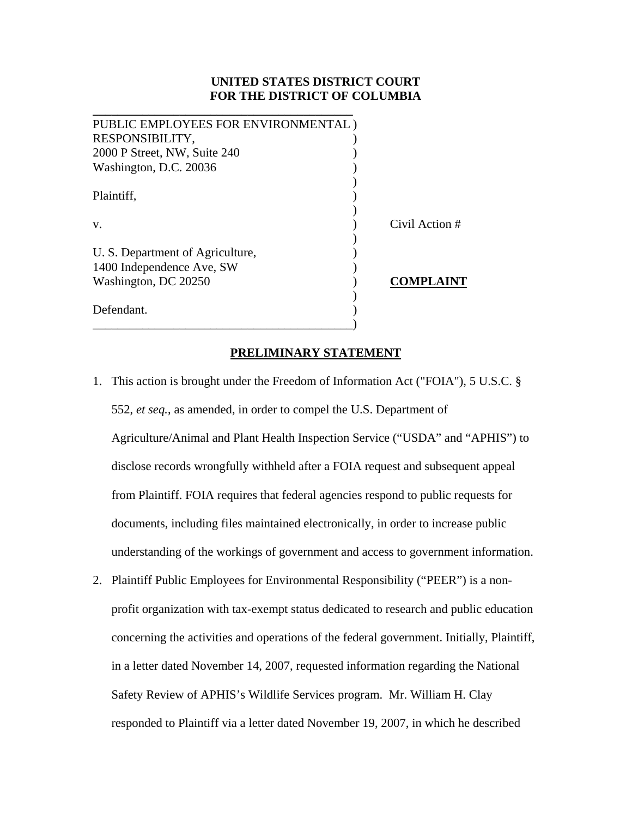# **UNITED STATES DISTRICT COURT FOR THE DISTRICT OF COLUMBIA**

| PUBLIC EMPLOYEES FOR ENVIRONMENTAL) |                  |
|-------------------------------------|------------------|
| RESPONSIBILITY,                     |                  |
| 2000 P Street, NW, Suite 240        |                  |
| Washington, D.C. 20036              |                  |
|                                     |                  |
| Plaintiff,                          |                  |
|                                     |                  |
| V.                                  | Civil Action #   |
|                                     |                  |
| U. S. Department of Agriculture,    |                  |
| 1400 Independence Ave, SW           |                  |
| Washington, DC 20250                | <b>COMPLAINT</b> |
|                                     |                  |
| Defendant.                          |                  |
|                                     |                  |

**\_\_\_\_\_\_\_\_\_\_\_\_\_\_\_\_\_\_\_\_\_\_\_\_\_\_\_\_\_\_\_\_\_\_\_\_\_\_\_\_\_\_** 

# **PRELIMINARY STATEMENT**

- 1. This action is brought under the Freedom of Information Act ("FOIA"), 5 U.S.C. § 552, *et seq.*, as amended, in order to compel the U.S. Department of Agriculture/Animal and Plant Health Inspection Service ("USDA" and "APHIS") to disclose records wrongfully withheld after a FOIA request and subsequent appeal from Plaintiff. FOIA requires that federal agencies respond to public requests for documents, including files maintained electronically, in order to increase public understanding of the workings of government and access to government information.
- 2. Plaintiff Public Employees for Environmental Responsibility ("PEER") is a nonprofit organization with tax-exempt status dedicated to research and public education concerning the activities and operations of the federal government. Initially, Plaintiff, in a letter dated November 14, 2007, requested information regarding the National Safety Review of APHIS's Wildlife Services program. Mr. William H. Clay responded to Plaintiff via a letter dated November 19, 2007, in which he described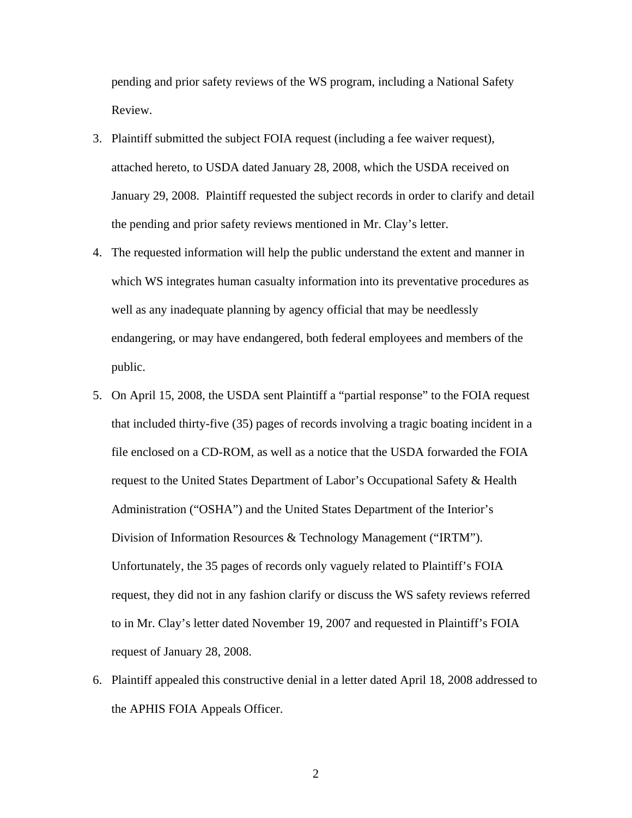pending and prior safety reviews of the WS program, including a National Safety Review.

- 3. Plaintiff submitted the subject FOIA request (including a fee waiver request), attached hereto, to USDA dated January 28, 2008, which the USDA received on January 29, 2008. Plaintiff requested the subject records in order to clarify and detail the pending and prior safety reviews mentioned in Mr. Clay's letter.
- 4. The requested information will help the public understand the extent and manner in which WS integrates human casualty information into its preventative procedures as well as any inadequate planning by agency official that may be needlessly endangering, or may have endangered, both federal employees and members of the public.
- 5. On April 15, 2008, the USDA sent Plaintiff a "partial response" to the FOIA request that included thirty-five (35) pages of records involving a tragic boating incident in a file enclosed on a CD-ROM, as well as a notice that the USDA forwarded the FOIA request to the United States Department of Labor's Occupational Safety & Health Administration ("OSHA") and the United States Department of the Interior's Division of Information Resources & Technology Management ("IRTM"). Unfortunately, the 35 pages of records only vaguely related to Plaintiff's FOIA request, they did not in any fashion clarify or discuss the WS safety reviews referred to in Mr. Clay's letter dated November 19, 2007 and requested in Plaintiff's FOIA request of January 28, 2008.
- 6. Plaintiff appealed this constructive denial in a letter dated April 18, 2008 addressed to the APHIS FOIA Appeals Officer.

2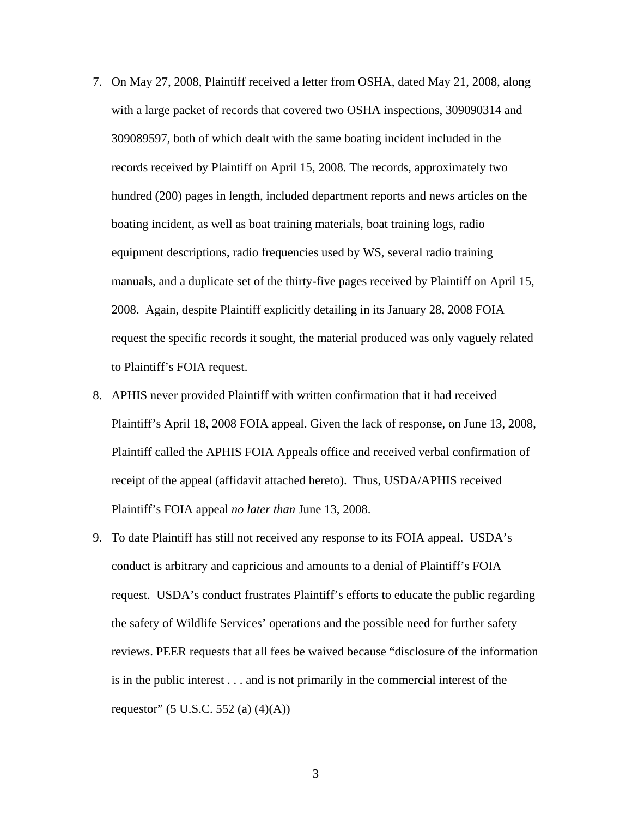- 7. On May 27, 2008, Plaintiff received a letter from OSHA, dated May 21, 2008, along with a large packet of records that covered two OSHA inspections, 309090314 and 309089597, both of which dealt with the same boating incident included in the records received by Plaintiff on April 15, 2008. The records, approximately two hundred (200) pages in length, included department reports and news articles on the boating incident, as well as boat training materials, boat training logs, radio equipment descriptions, radio frequencies used by WS, several radio training manuals, and a duplicate set of the thirty-five pages received by Plaintiff on April 15, 2008. Again, despite Plaintiff explicitly detailing in its January 28, 2008 FOIA request the specific records it sought, the material produced was only vaguely related to Plaintiff's FOIA request.
- 8. APHIS never provided Plaintiff with written confirmation that it had received Plaintiff's April 18, 2008 FOIA appeal. Given the lack of response, on June 13, 2008, Plaintiff called the APHIS FOIA Appeals office and received verbal confirmation of receipt of the appeal (affidavit attached hereto). Thus, USDA/APHIS received Plaintiff's FOIA appeal *no later than* June 13, 2008.
- 9. To date Plaintiff has still not received any response to its FOIA appeal. USDA's conduct is arbitrary and capricious and amounts to a denial of Plaintiff's FOIA request. USDA's conduct frustrates Plaintiff's efforts to educate the public regarding the safety of Wildlife Services' operations and the possible need for further safety reviews. PEER requests that all fees be waived because "disclosure of the information is in the public interest . . . and is not primarily in the commercial interest of the requestor" (5 U.S.C. 552 (a) (4)(A))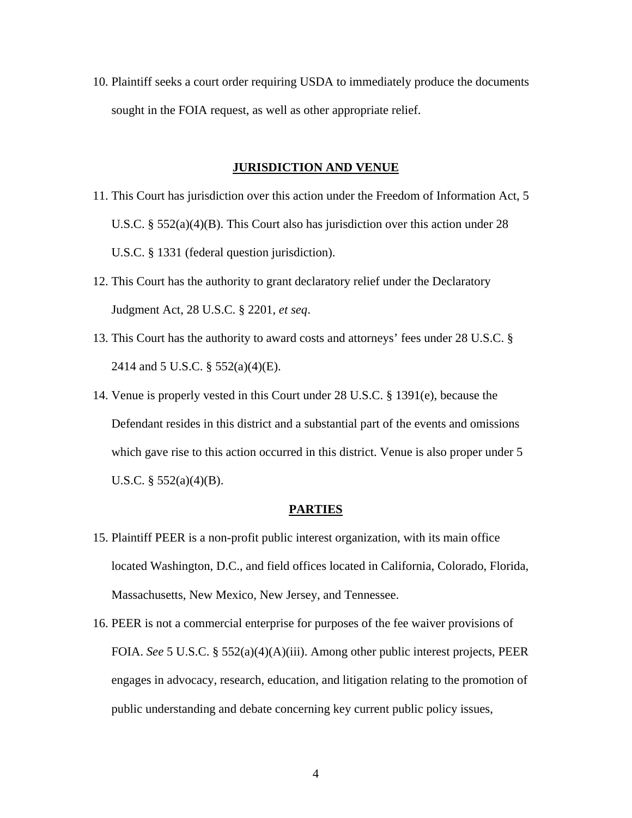10. Plaintiff seeks a court order requiring USDA to immediately produce the documents sought in the FOIA request, as well as other appropriate relief.

# **JURISDICTION AND VENUE**

- 11. This Court has jurisdiction over this action under the Freedom of Information Act, 5 U.S.C. § 552(a)(4)(B). This Court also has jurisdiction over this action under 28 U.S.C. § 1331 (federal question jurisdiction).
- 12. This Court has the authority to grant declaratory relief under the Declaratory Judgment Act, 28 U.S.C. § 2201, *et seq*.
- 13. This Court has the authority to award costs and attorneys' fees under 28 U.S.C. § 2414 and 5 U.S.C. § 552(a)(4)(E).
- 14. Venue is properly vested in this Court under 28 U.S.C. § 1391(e), because the Defendant resides in this district and a substantial part of the events and omissions which gave rise to this action occurred in this district. Venue is also proper under 5 U.S.C. § 552(a)(4)(B).

#### **PARTIES**

- 15. Plaintiff PEER is a non-profit public interest organization, with its main office located Washington, D.C., and field offices located in California, Colorado, Florida, Massachusetts, New Mexico, New Jersey, and Tennessee.
- 16. PEER is not a commercial enterprise for purposes of the fee waiver provisions of FOIA. *See* 5 U.S.C. § 552(a)(4)(A)(iii). Among other public interest projects, PEER engages in advocacy, research, education, and litigation relating to the promotion of public understanding and debate concerning key current public policy issues,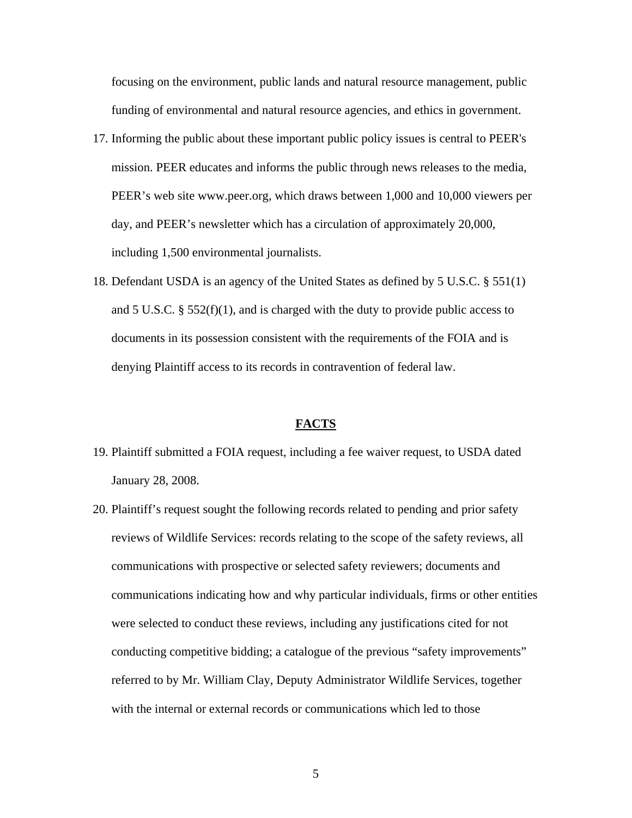focusing on the environment, public lands and natural resource management, public funding of environmental and natural resource agencies, and ethics in government.

- 17. Informing the public about these important public policy issues is central to PEER's mission. PEER educates and informs the public through news releases to the media, PEER's web site www.peer.org, which draws between 1,000 and 10,000 viewers per day, and PEER's newsletter which has a circulation of approximately 20,000, including 1,500 environmental journalists.
- 18. Defendant USDA is an agency of the United States as defined by 5 U.S.C. § 551(1) and 5 U.S.C. §  $552(f)(1)$ , and is charged with the duty to provide public access to documents in its possession consistent with the requirements of the FOIA and is denying Plaintiff access to its records in contravention of federal law.

# **FACTS**

- 19. Plaintiff submitted a FOIA request, including a fee waiver request, to USDA dated January 28, 2008.
- 20. Plaintiff's request sought the following records related to pending and prior safety reviews of Wildlife Services: records relating to the scope of the safety reviews, all communications with prospective or selected safety reviewers; documents and communications indicating how and why particular individuals, firms or other entities were selected to conduct these reviews, including any justifications cited for not conducting competitive bidding; a catalogue of the previous "safety improvements" referred to by Mr. William Clay, Deputy Administrator Wildlife Services, together with the internal or external records or communications which led to those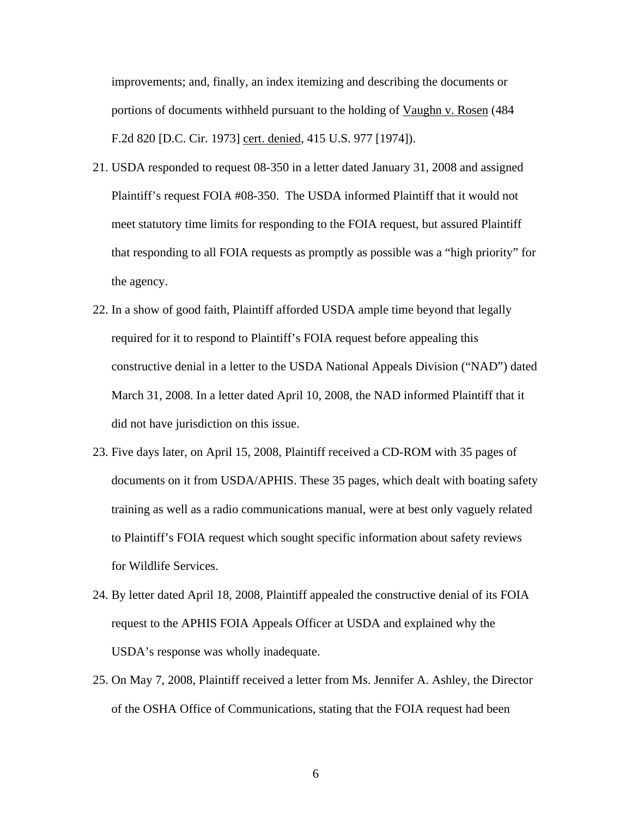improvements; and, finally, an index itemizing and describing the documents or portions of documents withheld pursuant to the holding of Vaughn v. Rosen (484 F.2d 820 [D.C. Cir. 1973] cert. denied, 415 U.S. 977 [1974]).

- 21. USDA responded to request 08-350 in a letter dated January 31, 2008 and assigned Plaintiff's request FOIA #08-350. The USDA informed Plaintiff that it would not meet statutory time limits for responding to the FOIA request, but assured Plaintiff that responding to all FOIA requests as promptly as possible was a "high priority" for the agency.
- 22. In a show of good faith, Plaintiff afforded USDA ample time beyond that legally required for it to respond to Plaintiff's FOIA request before appealing this constructive denial in a letter to the USDA National Appeals Division ("NAD") dated March 31, 2008. In a letter dated April 10, 2008, the NAD informed Plaintiff that it did not have jurisdiction on this issue.
- 23. Five days later, on April 15, 2008, Plaintiff received a CD-ROM with 35 pages of documents on it from USDA/APHIS. These 35 pages, which dealt with boating safety training as well as a radio communications manual, were at best only vaguely related to Plaintiff's FOIA request which sought specific information about safety reviews for Wildlife Services.
- 24. By letter dated April 18, 2008, Plaintiff appealed the constructive denial of its FOIA request to the APHIS FOIA Appeals Officer at USDA and explained why the USDA's response was wholly inadequate.
- 25. On May 7, 2008, Plaintiff received a letter from Ms. Jennifer A. Ashley, the Director of the OSHA Office of Communications, stating that the FOIA request had been

6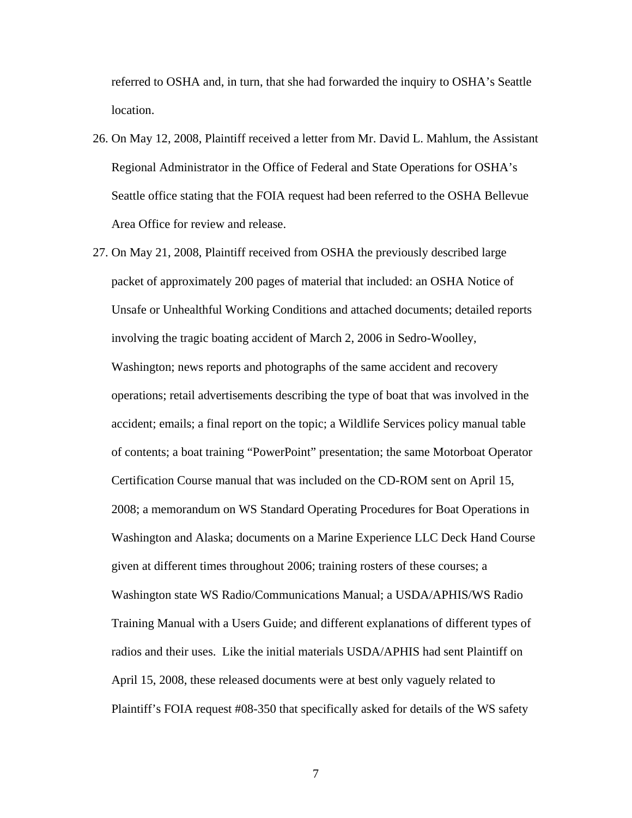referred to OSHA and, in turn, that she had forwarded the inquiry to OSHA's Seattle location.

- 26. On May 12, 2008, Plaintiff received a letter from Mr. David L. Mahlum, the Assistant Regional Administrator in the Office of Federal and State Operations for OSHA's Seattle office stating that the FOIA request had been referred to the OSHA Bellevue Area Office for review and release.
- 27. On May 21, 2008, Plaintiff received from OSHA the previously described large packet of approximately 200 pages of material that included: an OSHA Notice of Unsafe or Unhealthful Working Conditions and attached documents; detailed reports involving the tragic boating accident of March 2, 2006 in Sedro-Woolley, Washington; news reports and photographs of the same accident and recovery operations; retail advertisements describing the type of boat that was involved in the accident; emails; a final report on the topic; a Wildlife Services policy manual table of contents; a boat training "PowerPoint" presentation; the same Motorboat Operator Certification Course manual that was included on the CD-ROM sent on April 15, 2008; a memorandum on WS Standard Operating Procedures for Boat Operations in Washington and Alaska; documents on a Marine Experience LLC Deck Hand Course given at different times throughout 2006; training rosters of these courses; a Washington state WS Radio/Communications Manual; a USDA/APHIS/WS Radio Training Manual with a Users Guide; and different explanations of different types of radios and their uses. Like the initial materials USDA/APHIS had sent Plaintiff on April 15, 2008, these released documents were at best only vaguely related to Plaintiff's FOIA request #08-350 that specifically asked for details of the WS safety
	- 7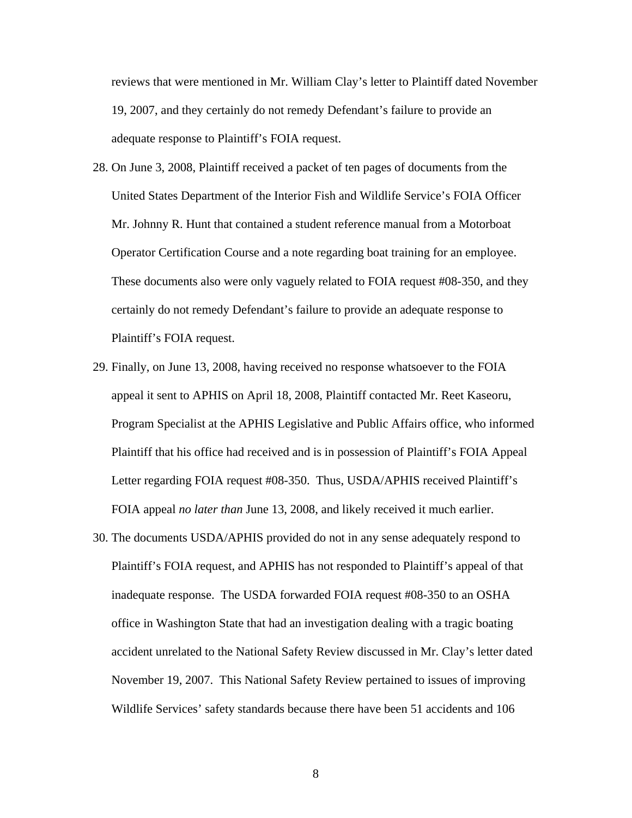reviews that were mentioned in Mr. William Clay's letter to Plaintiff dated November 19, 2007, and they certainly do not remedy Defendant's failure to provide an adequate response to Plaintiff's FOIA request.

- 28. On June 3, 2008, Plaintiff received a packet of ten pages of documents from the United States Department of the Interior Fish and Wildlife Service's FOIA Officer Mr. Johnny R. Hunt that contained a student reference manual from a Motorboat Operator Certification Course and a note regarding boat training for an employee. These documents also were only vaguely related to FOIA request #08-350, and they certainly do not remedy Defendant's failure to provide an adequate response to Plaintiff's FOIA request.
- 29. Finally, on June 13, 2008, having received no response whatsoever to the FOIA appeal it sent to APHIS on April 18, 2008, Plaintiff contacted Mr. Reet Kaseoru, Program Specialist at the APHIS Legislative and Public Affairs office, who informed Plaintiff that his office had received and is in possession of Plaintiff's FOIA Appeal Letter regarding FOIA request #08-350. Thus, USDA/APHIS received Plaintiff's FOIA appeal *no later than* June 13, 2008, and likely received it much earlier.
- 30. The documents USDA/APHIS provided do not in any sense adequately respond to Plaintiff's FOIA request, and APHIS has not responded to Plaintiff's appeal of that inadequate response. The USDA forwarded FOIA request #08-350 to an OSHA office in Washington State that had an investigation dealing with a tragic boating accident unrelated to the National Safety Review discussed in Mr. Clay's letter dated November 19, 2007. This National Safety Review pertained to issues of improving Wildlife Services' safety standards because there have been 51 accidents and 106

8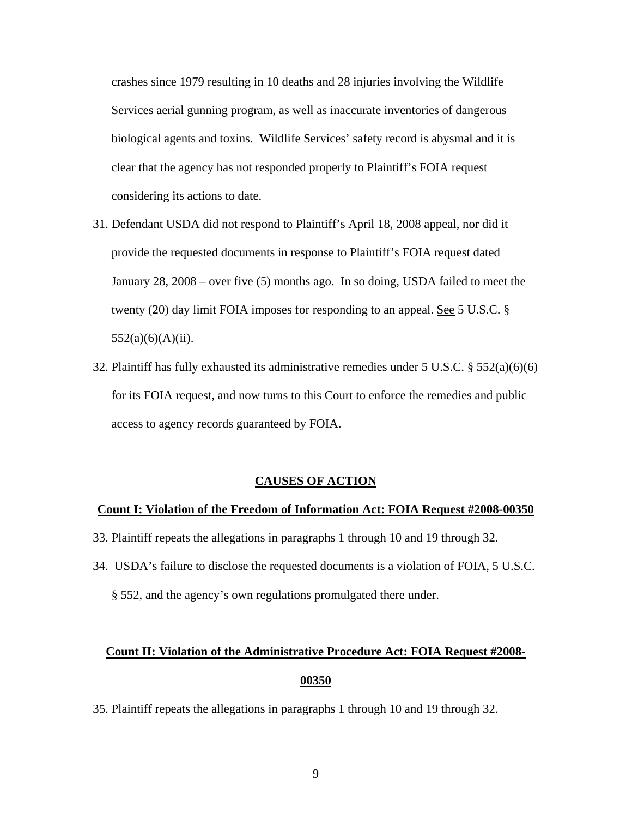crashes since 1979 resulting in 10 deaths and 28 injuries involving the Wildlife Services aerial gunning program, as well as inaccurate inventories of dangerous biological agents and toxins. Wildlife Services' safety record is abysmal and it is clear that the agency has not responded properly to Plaintiff's FOIA request considering its actions to date.

- 31. Defendant USDA did not respond to Plaintiff's April 18, 2008 appeal, nor did it provide the requested documents in response to Plaintiff's FOIA request dated January 28, 2008 – over five (5) months ago. In so doing, USDA failed to meet the twenty (20) day limit FOIA imposes for responding to an appeal. See 5 U.S.C. §  $552(a)(6)(A)(ii)$ .
- 32. Plaintiff has fully exhausted its administrative remedies under 5 U.S.C. § 552(a)(6)(6) for its FOIA request, and now turns to this Court to enforce the remedies and public access to agency records guaranteed by FOIA.

## **CAUSES OF ACTION**

## **Count I: Violation of the Freedom of Information Act: FOIA Request #2008-00350**

- 33. Plaintiff repeats the allegations in paragraphs 1 through 10 and 19 through 32.
- 34. USDA's failure to disclose the requested documents is a violation of FOIA, 5 U.S.C. § 552, and the agency's own regulations promulgated there under.

# **Count II: Violation of the Administrative Procedure Act: FOIA Request #2008- 00350**

35. Plaintiff repeats the allegations in paragraphs 1 through 10 and 19 through 32.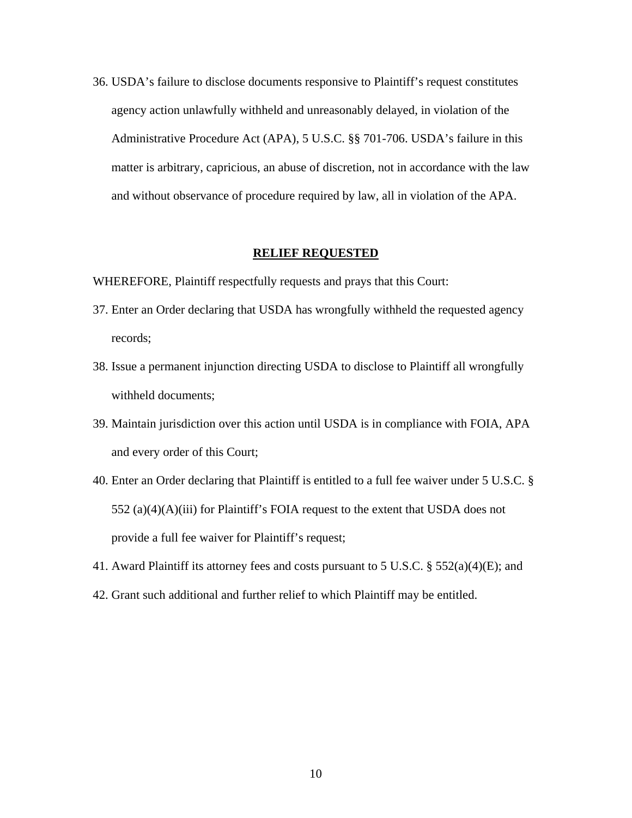36. USDA's failure to disclose documents responsive to Plaintiff's request constitutes agency action unlawfully withheld and unreasonably delayed, in violation of the Administrative Procedure Act (APA), 5 U.S.C. §§ 701-706. USDA's failure in this matter is arbitrary, capricious, an abuse of discretion, not in accordance with the law and without observance of procedure required by law, all in violation of the APA.

# **RELIEF REQUESTED**

WHEREFORE, Plaintiff respectfully requests and prays that this Court:

- 37. Enter an Order declaring that USDA has wrongfully withheld the requested agency records;
- 38. Issue a permanent injunction directing USDA to disclose to Plaintiff all wrongfully withheld documents;
- 39. Maintain jurisdiction over this action until USDA is in compliance with FOIA, APA and every order of this Court;
- 40. Enter an Order declaring that Plaintiff is entitled to a full fee waiver under 5 U.S.C. § 552 (a)(4)(A)(iii) for Plaintiff's FOIA request to the extent that USDA does not provide a full fee waiver for Plaintiff's request;
- 41. Award Plaintiff its attorney fees and costs pursuant to 5 U.S.C. § 552(a)(4)(E); and
- 42. Grant such additional and further relief to which Plaintiff may be entitled.